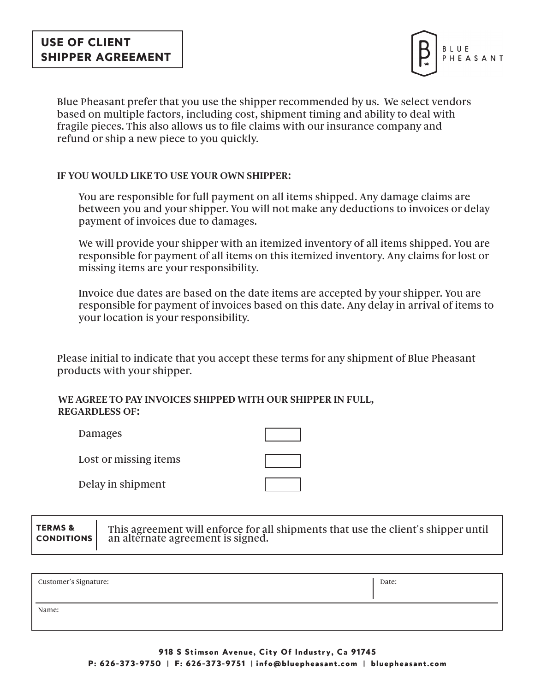

Blue Pheasant prefer that you use the shipper recommended by us. We select vendors based on multiple factors, including cost, shipment timing and ability to deal with fragile pieces. This also allows us to file claims with our insurance company and refund or ship a new piece to you quickly.

## **IF YOU WOULD LIKE TO USE YOUR OWN SHIPPER:**

You are responsible for full payment on all items shipped. Any damage claims are between you and your shipper. You will not make any deductions to invoices or delay payment of invoices due to damages.

We will provide your shipper with an itemized inventory of all items shipped. You are responsible for payment of all items on this itemized inventory. Any claims for lost or missing items are your responsibility.

Invoice due dates are based on the date items are accepted by your shipper. You are responsible for payment of invoices based on this date. Any delay in arrival of items to your location is your responsibility.

Please initial to indicate that you accept these terms for any shipment of Blue Pheasant products with your shipper.

## **WE AGREE TO PAY INVOICES SHIPPED WITH OUR SHIPPER IN FULL, REGARDLESS OF:**

Damages

Lost or missing items

Delay in shipment

| the control of the control of |  |
|-------------------------------|--|
|                               |  |
|                               |  |
|                               |  |
|                               |  |

This agreement will enforce for all shipments that use the client's shipper until an alternate agreement is signed. TERMS & **CONDITIONS** 

| Customer's Signature: | Date: |
|-----------------------|-------|
| Name:                 |       |